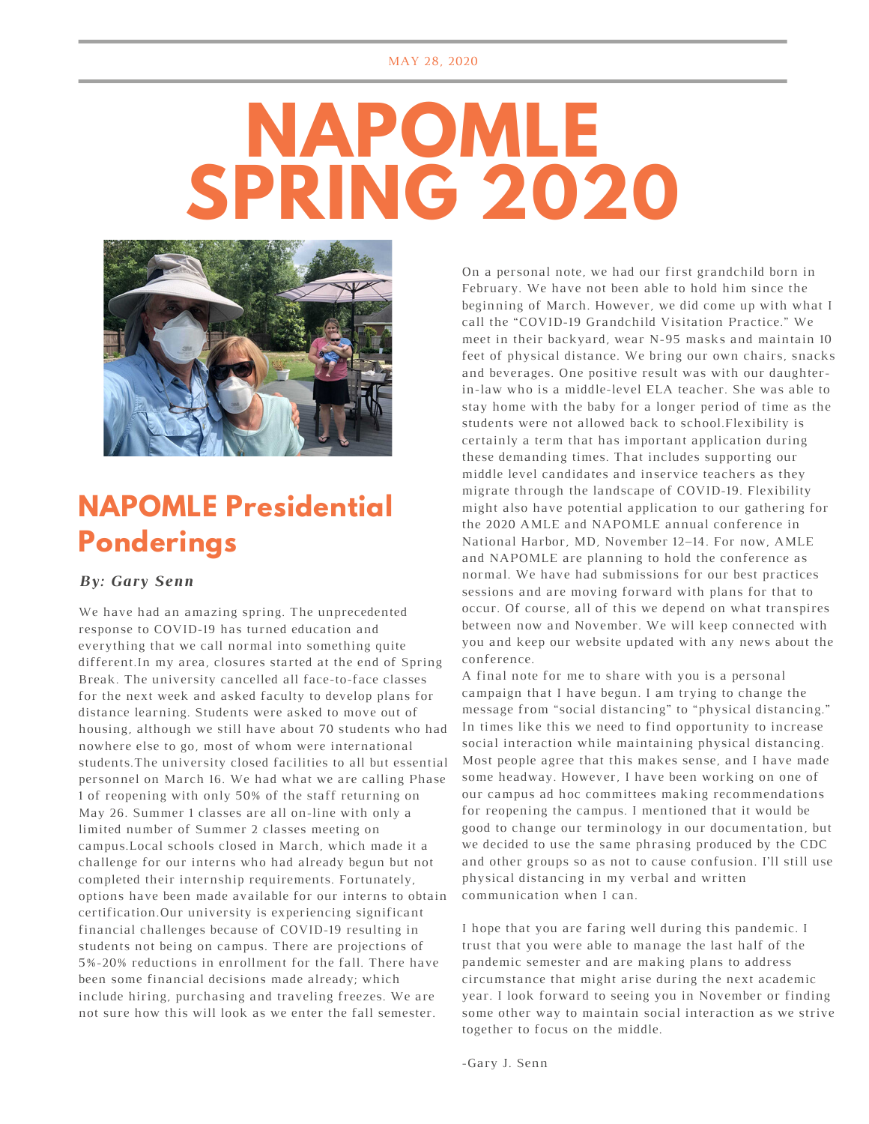# **NAPOMLE SPRING 2020**



#### **NAPOMLE Presidential Ponderings**

#### *By: Gary Senn*

We have had an amazing spring. The unprecedented response to COVID-19 has turned education and everything that we call normal into something quite different.In my area, closures started at the end of Spring Break. The university cancelled all face-to-face classes for the next week and asked faculty to develop plans for distance learning. Students were asked to move out of housing, although we still have about 70 students who had nowhere else to go, most of whom were international students.The university closed facilities to all but essential personnel on March 16. We had what we are calling Phase 1 of reopening with only 50% of the staff returning on May 26. Summer 1 classes are all on-line with only a limited number of Summer 2 classes meeting on campus.Local schools closed in March, which made it a challenge for our interns who had already begun but not completed their internship requirements. Fortunately, options have been made available for our interns to obtain certification.Our university is experiencing significant financial challenges because of COVID-19 resulting in students not being on campus. There are projections of 5%-20% reductions in enrollment for the fall. There have been some financial decisions made already; which include hiring, purchasing and traveling freezes. We are not sure how this will look as we enter the fall semester.

On a personal note, we had our first grandchild born in February. We have not been able to hold him since the beginning of March. However, we did come up with what I call the "COVID-19 Grandchild Visitation Practice." We meet in their backyard, wear N-95 masks and maintain 10 feet of physical distance. We bring our own chairs, snacks and beverages. One positive result was with our daughterin-law who is a middle-level ELA teacher. She was able to stay home with the baby for a longer period of time as the students were not allowed back to school.Flexibility is certainly a term that has important application during these demanding times. That includes supporting our middle level candidates and inservice teachers as they migrate through the landscape of COVID-19. Flexibility might also have potential application to our gathering for the 2020 AMLE and NAPOMLE annual conference in National Harbor, MD, November 12–14. For now, AMLE and NAPOMLE are planning to hold the conference as normal. We have had submissions for our best practices sessions and are moving forward with plans for that to occur. Of course, all of this we depend on what transpires between now and November. We will keep connected with you and keep our website updated with any news about the conference.

A final note for me to share with you is a personal campaign that I have begun. I am trying to change the message from "social distancing" to "physical distancing." In times like this we need to find opportunity to increase social interaction while maintaining physical distancing. Most people agree that this makes sense, and I have made some headway. However, I have been working on one of our campus ad hoc committees making recommendations for reopening the campus. I mentioned that it would be good to change our terminology in our documentation, but we decided to use the same phrasing produced by the CDC and other groups so as not to cause confusion. I'll still use physical distancing in my verbal and written communication when I can.

I hope that you are faring well during this pandemic. I trust that you were able to manage the last half of the pandemic semester and are making plans to address circumstance that might arise during the next academic year. I look forward to seeing you in November or finding some other way to maintain social interaction as we strive together to focus on the middle.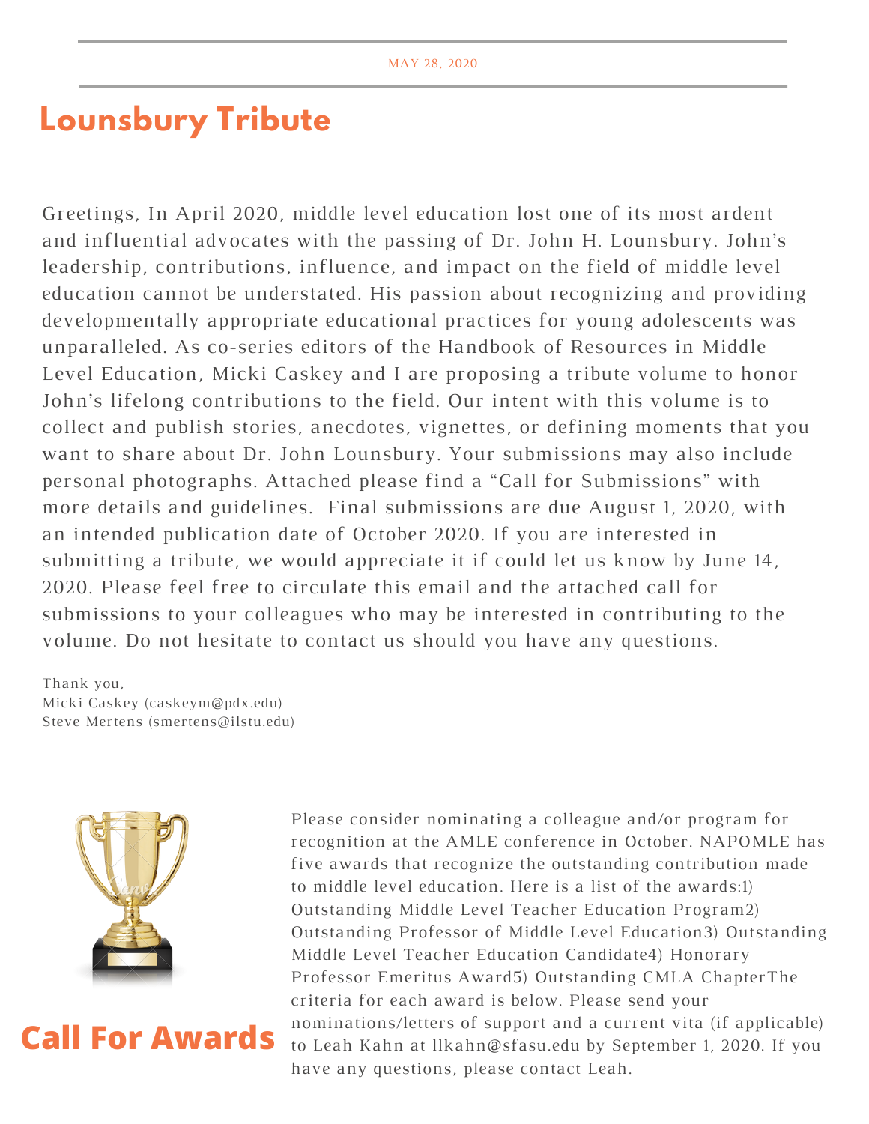#### **Lounsbury Tribute**

Greetings, In April 2020, middle level education lost one of its most ardent and influential advocates with the passing of Dr. John H. Lounsbury. John's leadership, contributions, influence, and impact on the field of middle level education cannot be understated. His passion about recognizing and providing developmentally appropriate educational practices for young adolescents was unparalleled. As co-series editors of the Handbook of Resources in Middle Level Education, Micki Caskey and I are proposing a tribute volume to honor John's lifelong contributions to the field. Our intent with this volume is to collect and publish stories, anecdotes, vignettes, or defining moments that you want to share about Dr. John Lounsbury. Your submissions may also include personal photographs. Attached please find a "Call for Submissions" with more details and guidelines. Final submissions are due August 1, 2020, with an intended publication date of October 2020. If you are interested in submitting a tribute, we would appreciate it if could let us know by June 14, 2020. Please feel free to circulate this email and the attached call for submissions to your colleagues who may be interested in contributing to the volume. Do not hesitate to contact us should you have any questions.

Thank you, Micki Caskey (caskeym@pdx.edu) Steve Mertens (smertens@ilstu.edu)



### **Call For Awards**

Please consider nominating a colleague and/or program for recognition at the AMLE conference in October. NAPOMLE has five awards that recognize the outstanding contribution made to middle level education. Here is a list of the awards:1) Outstanding Middle Level Teacher Education Program2) Outstanding Professor of Middle Level Education3) Outstanding Middle Level Teacher Education Candidate4) Honorary Professor Emeritus Award5) Outstanding CMLA ChapterThe criteria for each award is below. Please send your nominations/letters of support and a current vita (if applicable) to Leah Kahn at llkahn@sfasu.edu by September 1, 2020. If you have any questions, please contact Leah.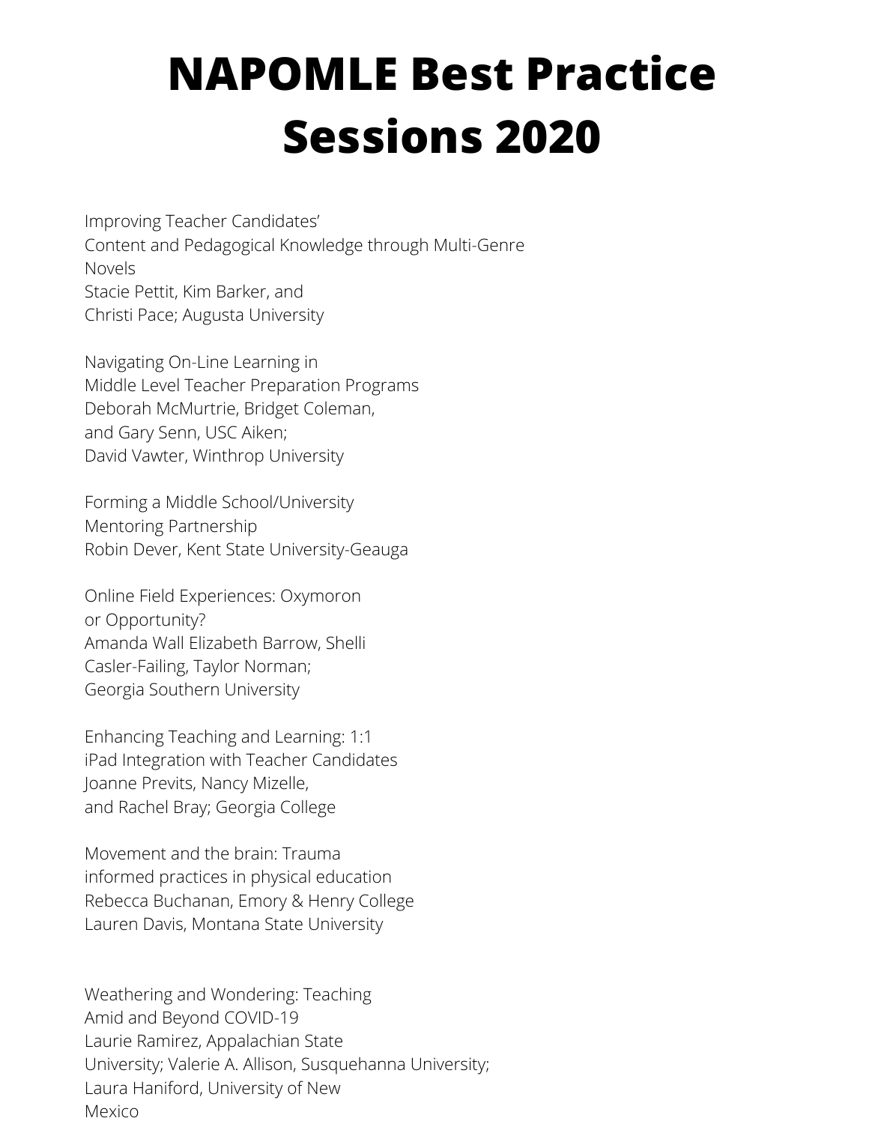## **NAPOMLE Best Practice Sessions 2020**

Improving Teacher Candidates' Content and Pedagogical Knowledge through Multi-Genre Novels Stacie Pettit, Kim Barker, and Christi Pace; Augusta University

Navigating On-Line Learning in Middle Level Teacher Preparation Programs Deborah McMurtrie, Bridget Coleman, and Gary Senn, USC Aiken; David Vawter, Winthrop University

Forming a Middle School/University Mentoring Partnership Robin Dever, Kent State University-Geauga

Online Field Experiences: Oxymoron or Opportunity? Amanda Wall Elizabeth Barrow, Shelli Casler-Failing, Taylor Norman; Georgia Southern University

Enhancing Teaching and Learning: 1:1 iPad Integration with Teacher Candidates Joanne Previts, Nancy Mizelle, and Rachel Bray; Georgia College

Movement and the brain: Trauma informed practices in physical education Rebecca Buchanan, Emory & Henry College Lauren Davis, Montana State University

Weathering and Wondering: Teaching Amid and Beyond COVID-19 Laurie Ramirez, Appalachian State University; Valerie A. Allison, Susquehanna University; Laura Haniford, University of New Mexico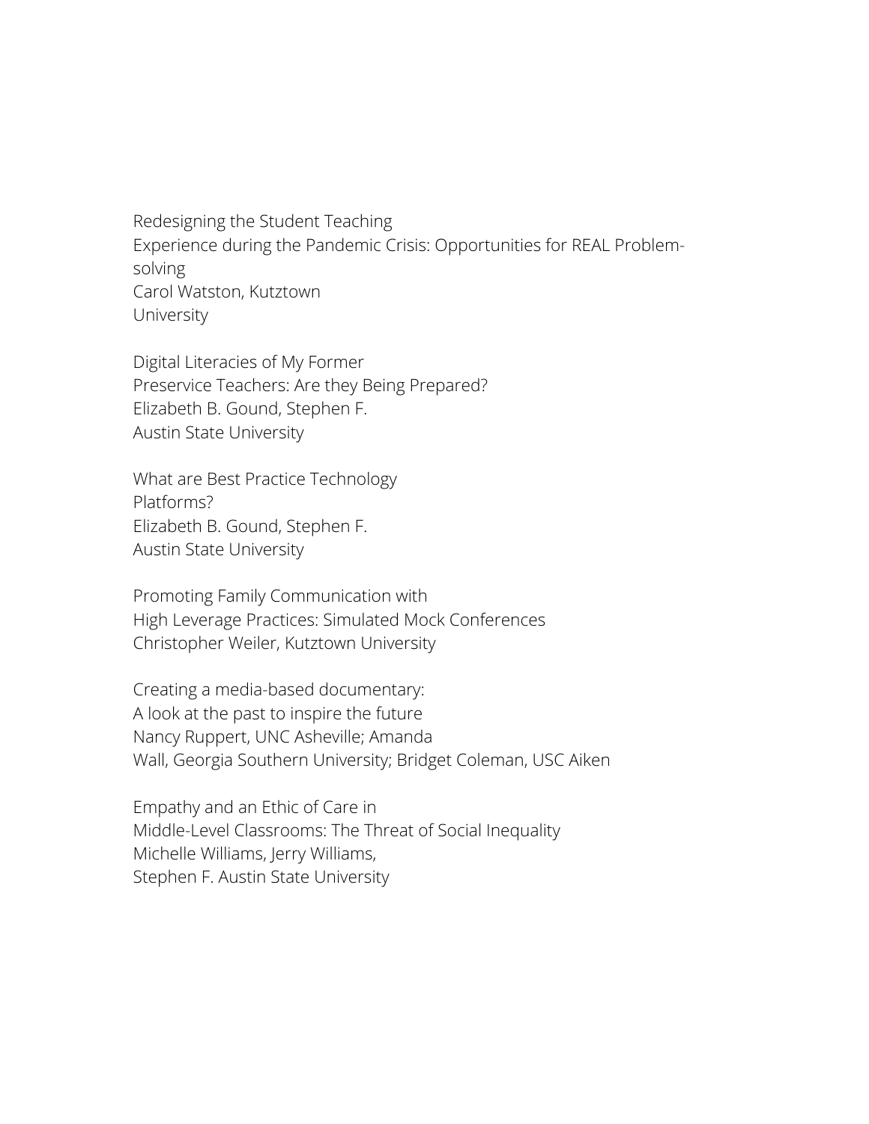Redesigning the Student Teaching Experience during the Pandemic Crisis: Opportunities for REAL Problemsolving Carol Watston, Kutztown University

Digital Literacies of My Former Preservice Teachers: Are they Being Prepared? Elizabeth B. Gound, Stephen F. Austin State University

What are Best Practice Technology Platforms? Elizabeth B. Gound, Stephen F. Austin State University

Promoting Family Communication with High Leverage Practices: Simulated Mock Conferences Christopher Weiler, Kutztown University

Creating a media-based documentary: A look at the past to inspire the future Nancy Ruppert, UNC Asheville; Amanda Wall, Georgia Southern University; Bridget Coleman, USC Aiken

Empathy and an Ethic of Care in Middle-Level Classrooms: The Threat of Social Inequality Michelle Williams, Jerry Williams, Stephen F. Austin State University